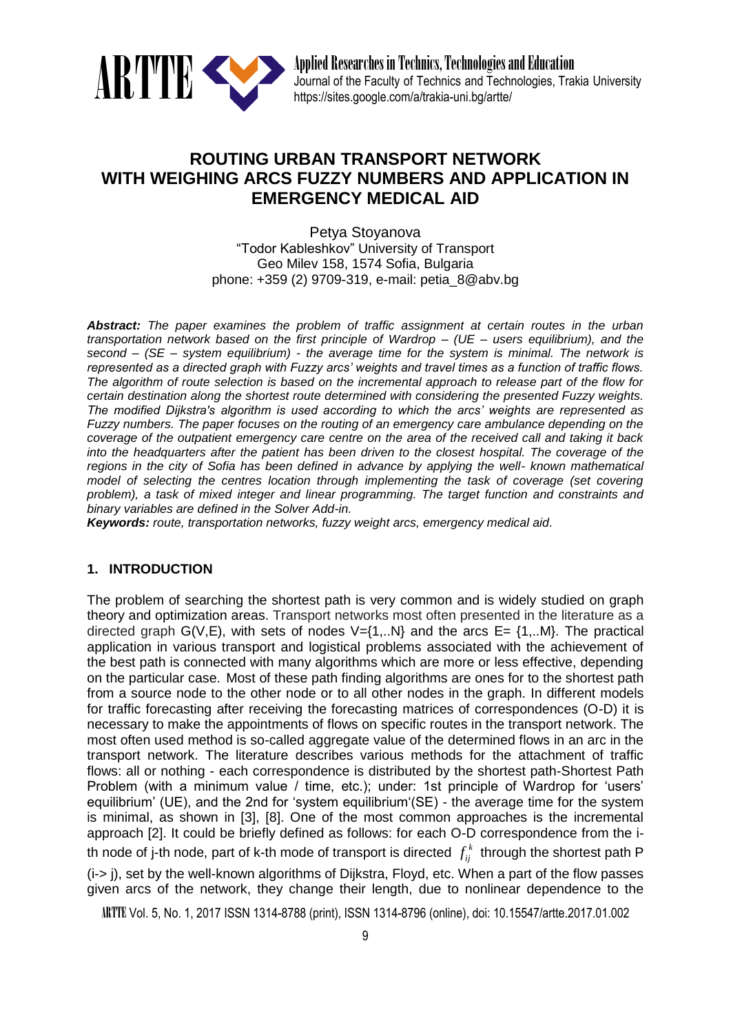

# **ROUTING URBAN TRANSPORT NETWORK WITH WEIGHING ARCS FUZZY NUMBERS AND APPLICATION IN EMERGENCY MEDICAL AID**

Petya Stoyanova "Todor Kableshkov" University of Transport Geo Milev 158, 1574 Sofia, Bulgaria phone: +359 (2) 9709-319, e-mail: petia\_8@abv.bg

*Abstract: The paper examines the problem of traffic assignment at certain routes in the urban transportation network based on the first principle of Wardrop – (UE – users equilibrium), and the second – (SE – system equilibrium) - the average time for the system is minimal. The network is represented as a directed graph with Fuzzy arcs' weights and travel times as a function of traffic flows. The algorithm of route selection is based on the incremental approach to release part of the flow for certain destination along the shortest route determined with considering the presented Fuzzy weights. The modified Dijkstra's algorithm is used according to which the arcs' weights are represented as Fuzzy numbers. The paper focuses on the routing of an emergency care ambulance depending on the coverage of the outpatient emergency care centre on the area of the received call and taking it back into the headquarters after the patient has been driven to the closest hospital. The coverage of the regions in the city of Sofia has been defined in advance by applying the well- known mathematical model of selecting the centres location through implementing the task of coverage (set covering problem), a task of mixed integer and linear programming. The target function and constraints and binary variables are defined in the Solver Add-in.*

*Keywords: route, transportation networks, fuzzy weight arcs, emergency medical aid.*

# **1. INTRODUCTION**

The problem of searching the shortest path is very common and is widely studied on graph theory and optimization areas. Transport networks most often presented in the literature as a directed graph G(V,E), with sets of nodes  $V = \{1,..N\}$  and the arcs E=  $\{1,..M\}$ . The practical application in various transport and logistical problems associated with the achievement of the best path is connected with many algorithms which are more or less effective, depending on the particular case. Most of these path finding algorithms are ones for to the shortest path from a source node to the other node or to all other nodes in the graph. In different models for traffic forecasting after receiving the forecasting matrices of correspondences (O-D) it is necessary to make the appointments of flows on specific routes in the transport network. The most often used method is so-called aggregate value of the determined flows in an arc in the transport network. The literature describes various methods for the attachment of traffic flows: all or nothing - each correspondence is distributed by the shortest path-Shortest Path Problem (with a minimum value / time, etc.); under: 1st principle of Wardrop for 'users' equilibrium' (UE), and the 2nd for 'system equilibrium'(SE) - the average time for the system is minimal, as shown in [3], [8]. One of the most common approaches is the incremental approach [2]. It could be briefly defined as follows: for each O-D correspondence from the ith node of j-th node, part of k-th mode of transport is directed  $\,f^{\,k}_{ij}\,$  through the shortest path P (i-> j), set by the well-known algorithms of Dijkstra, Floyd, etc. When a part of the flow passes given arcs of the network, they change their length, due to nonlinear dependence to the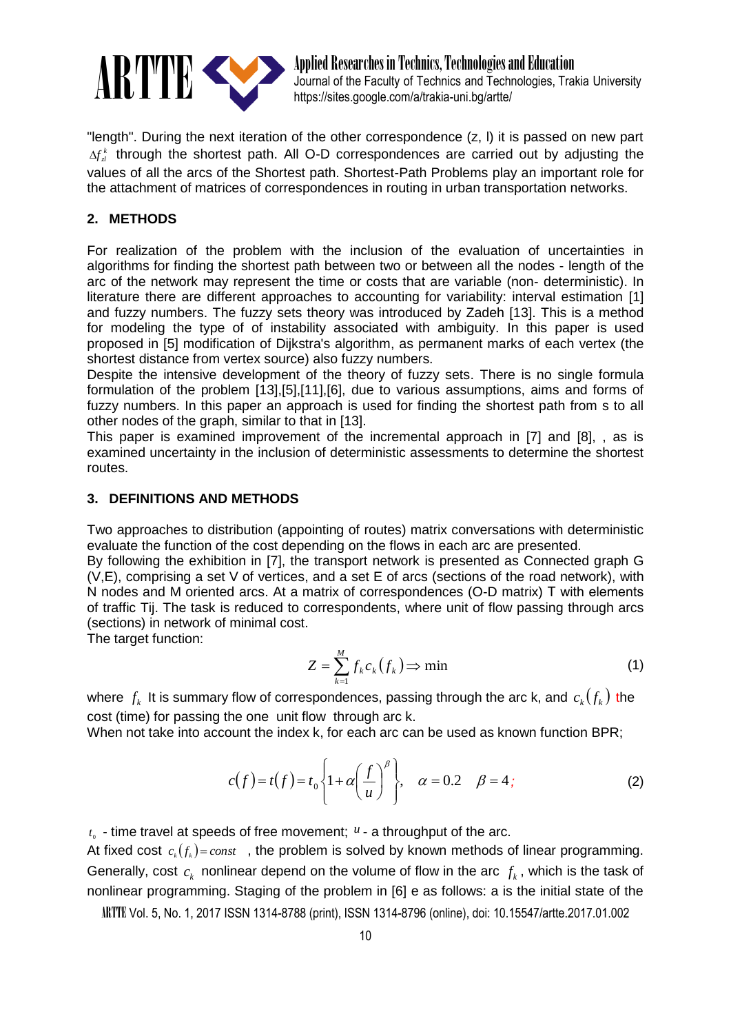

ARTTE Applied Researches in Technics, Technologies and Education<br>
Journal of the Faculty of Technics and Technologies, Tra<br>
https://sites.google.com/a/trakia-uni.bo/artte/ Journal of the Faculty of Technics and Technologies, Trakia University https://sites.google.com/a/trakia-uni.bg/artte/

"length". During the next iteration of the other correspondence (z, l) it is passed on new part  $\Delta f_{\rm d}^k$  through the shortest path. All O-D correspondences are carried out by adjusting the values of all the arcs of the Shortest path. Shortest-Path Problems play an important role for the attachment of matrices of correspondences in routing in urban transportation networks.

## **2. METHODS**

For realization of the problem with the inclusion of the evaluation of uncertainties in algorithms for finding the shortest path between two or between all the nodes - length of the arc of the network may represent the time or costs that are variable (non- deterministic). In literature there are different approaches to accounting for variability: interval estimation [1] and fuzzy numbers. The fuzzy sets theory was introduced by Zadeh [13]. This is a method for modeling the type of of instability associated with ambiguity. In this paper is used proposed in [5] modification of Dijkstra's algorithm, as permanent marks of each vertex (the shortest distance from vertex source) also fuzzy numbers.

Despite the intensive development of the theory of fuzzy sets. There is no single formula formulation of the problem [13],[5],[11],[6], due to various assumptions, aims and forms of fuzzy numbers. In this paper an approach is used for finding the shortest path from s to all other nodes of the graph, similar to that in [13].

This paper is examined improvement of the incremental approach in [7] and [8], , as is examined uncertainty in the inclusion of deterministic assessments to determine the shortest routes.

## **3. DEFINITIONS AND METHODS**

Two approaches to distribution (appointing of routes) matrix conversations with deterministic evaluate the function of the cost depending on the flows in each arc are presented.

By following the exhibition in [7], the transport network is presented as Connected graph G (V,E), comprising a set V of vertices, and a set E of arcs (sections of the road network), with N nodes and M oriented arcs. At a matrix of correspondences (O-D matrix) Т with elements of traffic Tij. The task is reduced to correspondents, where unit of flow passing through arcs (sections) in network of minimal cost.

The target function:

$$
Z = \sum_{k=1}^{M} f_k c_k \left( f_k \right) \Rightarrow \min \tag{1}
$$

where  $f_k$  It is summary flow of correspondences, passing through the arc k, and  $c_k(f_k)$  the cost (time) for passing the one unit flow through arc k.

When not take into account the index k, for each arc can be used as known function BPR;

$$
c(f) = t(f) = t_0 \left\{ 1 + \alpha \left( \frac{f}{u} \right)^{\beta} \right\}, \quad \alpha = 0.2 \quad \beta = 4 ; \tag{2}
$$

 $t_{0}$  - time travel at speeds of free movement;  $u$  - a throughput of the arc.

At fixed cost  $c_k(f_k) = const$ , the problem is solved by known methods of linear programming. Generally, cost  $c_k$  nonlinear depend on the volume of flow in the arc  $f_k$ , which is the task of nonlinear programming. Staging of the problem in [6] e as follows: a is the initial state of the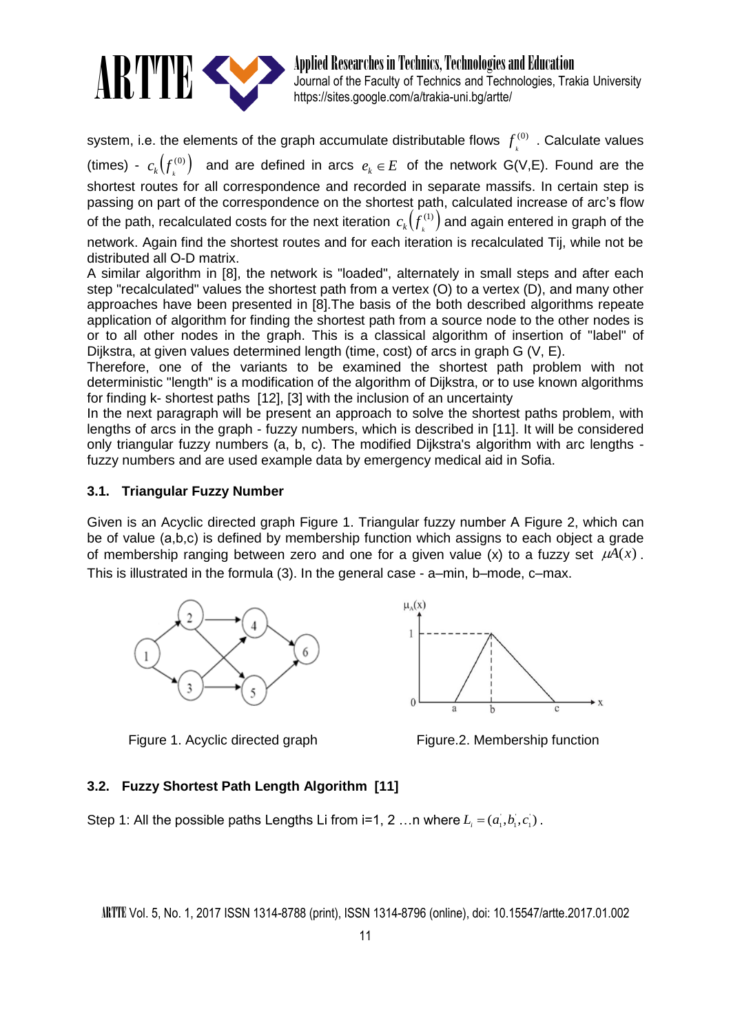

Applied Researches in Technics, Technologies and Education Journal of the Faculty of Technics and Technologies, Trakia University https://sites.google.com/a/trakia-uni.bg/artte/

system, i.e. the elements of the graph accumulate distributable flows  $\ f^{(0)}$  $f^{(0)}_{k}$  . Calculate values (times) -  $c_k(f^{(0)})$  $c_k(f_k^{(0)})$  and are defined in arcs  $e_k \in E$  of the network G(V,E). Found are the shortest routes for all correspondence and recorded in separate massifs. In certain step is passing on part of the correspondence on the shortest path, calculated increase of arc's flow of the path, recalculated costs for the next iteration  $\,c_k\bigl(\smash{f^{(1)}_\iota}\bigl)$  and again entered in graph of the network. Again find the shortest routes and for each iteration is recalculated Tij, while not be distributed all O-D matrix.

A similar algorithm in [8], the network is "loaded", alternately in small steps and after each step "recalculated" values the shortest path from a vertex (O) to a vertex (D), and many other approaches have been presented in [8].The basis of the both described algorithms repeate application of algorithm for finding the shortest path from a source node to the other nodes is or to all other nodes in the graph. This is a classical algorithm of insertion of "label" of Dijkstra, at given values determined length (time, cost) of arcs in graph G (V, E).

Therefore, one of the variants to be examined the shortest path problem with not deterministic "length" is a modification of the algorithm of Dijkstra, or to use known algorithms for finding k- shortest paths [12], [3] with the inclusion of an uncertainty

In the next paragraph will be present an approach to solve the shortest paths problem, with lengths of arcs in the graph - fuzzy numbers, which is described in [11]. It will be considered only triangular fuzzy numbers (a, b, c). The modified Dijkstra's algorithm with arc lengths fuzzy numbers and are used example data by emergency medical aid in Sofia.

# **3.1. Triangular Fuzzy Number**

Given is an Acyclic directed graph Figure 1. Triangular fuzzy number A Figure 2, which can be of value (a,b,c) is defined by membership function which assigns to each object a grade of membership ranging between zero and one for a given value (x) to a fuzzy set  $\mu A(x)$ . This is illustrated in the formula (3). In the general case - a–min, b–mode, c–max.



 $\mu_A(x)$ 

Figure 1. Acyclic directed graph Figure. Figure. 2. Membership function

# **3.2. Fuzzy Shortest Path Length Algorithm [11]**

Step 1: All the possible paths Lengths Li from i=1, 2 ...n where  $L_i = (a_i, b_i, c_i)$ .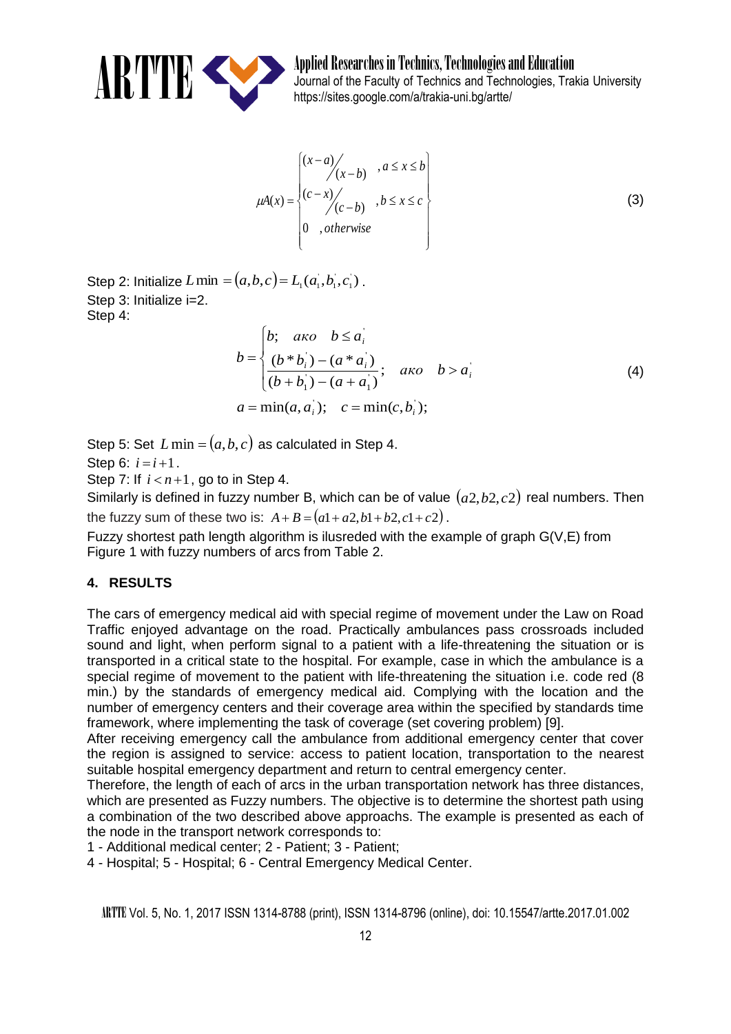

ARTTE APPLICE Applied Researches in Technics, Technologies and Education<br>buttos://sites.google.com/a/trakia-uni.bo/artte/ Journal of the Faculty of Technics and Technologies, Trakia University https://sites.google.com/a/trakia-uni.bg/artte/

$$
\mu A(x) = \begin{cases}\n(x-a) / (x-b) , a \le x \le b \\
(c-x) / (c-b) , b \le x \le c \\
0 , otherwise\n\end{cases}
$$
\n(3)

Step 2: Initialize  $L \min = (a,b,c)$  =  $L_{\!\scriptscriptstyle 1}(a_{\!\scriptscriptstyle 1}^{\scriptscriptstyle 1},b_{\!\scriptscriptstyle 1}^{\scriptscriptstyle 1},c_{\!\scriptscriptstyle 1}^{\scriptscriptstyle 1})$  . Step 3: Initialize i=2. Step 4:

$$
b = \begin{cases} b; & \text{and} \quad b \le a_i \\ \frac{(b * b_i) - (a * a_i)}{(b + b_1) - (a + a_1)}; & \text{and} \quad b > a_i \\ a = \min(a, a_i); & c = \min(c, b_i); \end{cases} \tag{4}
$$

Step 5: Set  $L$  min =  $(a,b,c)$  as calculated in Step 4.

Step 6:  $i = i + 1$ .

Step 7: If  $i < n+1$ , go to in Step 4.

Similarly is defined in fuzzy number B, which can be of value  $(a2,b2,c2)$  real numbers. Then the fuzzy sum of these two is:  $A + B = (a1 + a2, b1 + b2, c1 + c2)$ .

Fuzzy shortest path length algorithm is ilusreded with the example of graph G(V,E) from Figure 1 with fuzzy numbers of arcs from Table 2.

# **4. RESULTS**

The cars of emergency medical aid with special regime of movement under the Law on Road Traffic enjoyed advantage on the road. Practically ambulances pass crossroads included sound and light, when perform signal to a patient with a life-threatening the situation or is transported in a critical state to the hospital. For example, case in which the ambulance is a special regime of movement to the patient with life-threatening the situation i.e. code red (8 min.) by the standards of emergency medical aid. Complying with the location and the number of emergency centers and their coverage area within the specified by standards time framework, where implementing the task of coverage (set covering problem) [9].

After receiving emergency call the ambulance from additional emergency center that cover the region is assigned to service: access to patient location, transportation to the nearest suitable hospital emergency department and return to central emergency center.

Therefore, the length of each of arcs in the urban transportation network has three distances, which are presented as Fuzzy numbers. The objective is to determine the shortest path using a combination of the two described above approachs. The example is presented as each of the node in the transport network corresponds to:

1 - Additional medical center; 2 - Patient; 3 - Patient;

4 - Hospital; 5 - Hospital; 6 - Central Emergency Medical Center.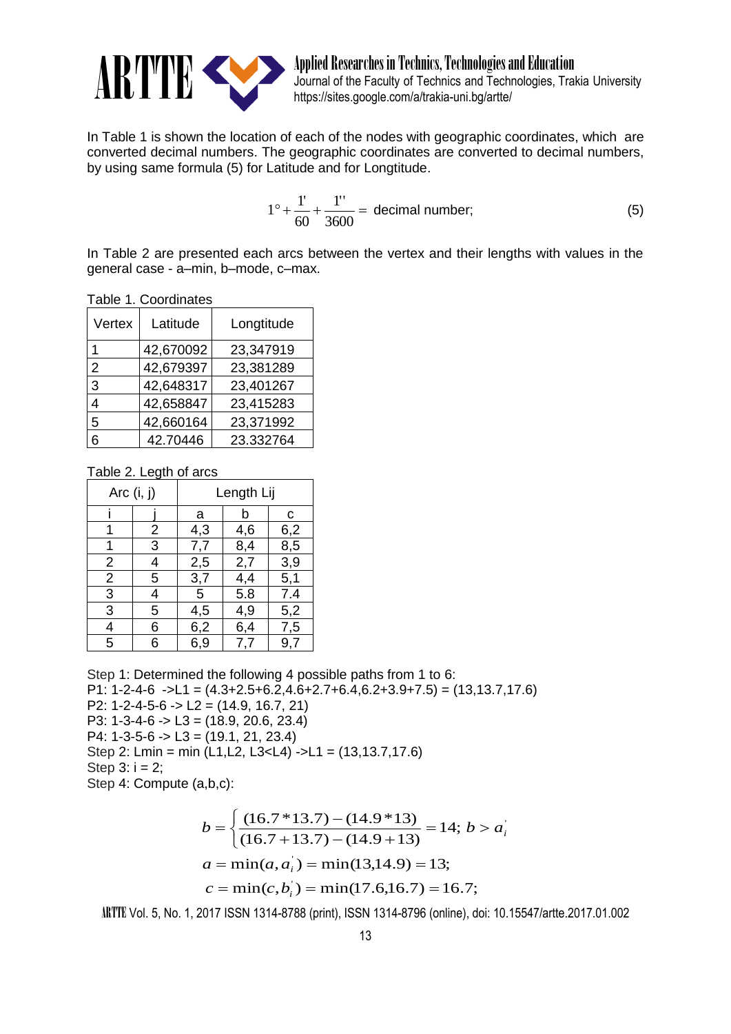

ARTTE Applied Researches in Technics, Technologies and Education<br>
Matthes://sites.google.com/a/trakia-uni bo/artte/ Journal of the Faculty of Technics and Technologies, Trakia University https://sites.google.com/a/trakia-uni.bg/artte/

In Table 1 is shown the location of each of the nodes with geographic coordinates, which are converted decimal numbers. The geographic coordinates are converted to decimal numbers, by using same formula (5) for Latitude and for Longtitude.

$$
1^{\circ} + \frac{1'}{60} + \frac{1''}{3600} = \text{decimal number};
$$
 (5)

In Table 2 are presented each arcs between the vertex and their lengths with values in the general case - a–min, b–mode, c–max.

|  |  | Table 1. Coordinates |
|--|--|----------------------|
|--|--|----------------------|

| Vertex         | Latitude  | Longtitude |  |
|----------------|-----------|------------|--|
|                | 42,670092 | 23,347919  |  |
| $\overline{2}$ | 42,679397 | 23,381289  |  |
| 3              | 42,648317 | 23,401267  |  |
| 4              | 42,658847 | 23,415283  |  |
| 5              | 42,660164 | 23,371992  |  |
|                | 42.70446  | 23.332764  |  |

Table 2. Legth of arcs

| Arc $(i, j)$   |   | Length Lij |     |     |
|----------------|---|------------|-----|-----|
|                |   | a          | b   | с   |
|                | 2 | 4,3        | 4,6 | 6,2 |
|                | 3 | 7,7        | 8,4 | 8,5 |
| $\overline{2}$ | 4 | 2,5        | 2,7 | 3,9 |
| 2              | 5 | 3,7        | 4,4 | 5,1 |
| 3              | 4 | 5          | 5.8 | 7.4 |
| 3              | 5 | 4,5        | 4,9 | 5,2 |
| 4              | 6 | 6,2        | 6,4 | 7,5 |
| 5              | 6 | 6,9        | 7,7 | 9,7 |

Step 1: Determined the following 4 possible paths from 1 to 6:

P1:  $1-2-4-6$   $\rightarrow$  L1 =  $(4.3+2.5+6.2, 4.6+2.7+6.4, 6.2+3.9+7.5)$  =  $(13, 13.7, 17.6)$ 

P2: 1-2-4-5-6 -> L2 =  $(14.9, 16.7, 21)$ 

P3: 1-3-4-6 -> L3 = (18.9, 20.6, 23.4)

P4: 1-3-5-6 -> L3 = (19.1, 21, 23.4)

Step 2: Lmin = min (L1,L2, L3<L4) ->L1 = (13,13.7,17.6)

Step  $3: i = 2$ ;

Step 4: Compute (a,b,c):

$$
b = \begin{cases} (16.7 * 13.7) - (14.9 * 13) \\ (16.7 + 13.7) - (14.9 + 13) \end{cases} = 14; b > a_i'
$$
  

$$
a = \min(a, a_i) = \min(13, 14.9) = 13;
$$
  

$$
c = \min(c, b_i) = \min(17.6, 16.7) = 16.7;
$$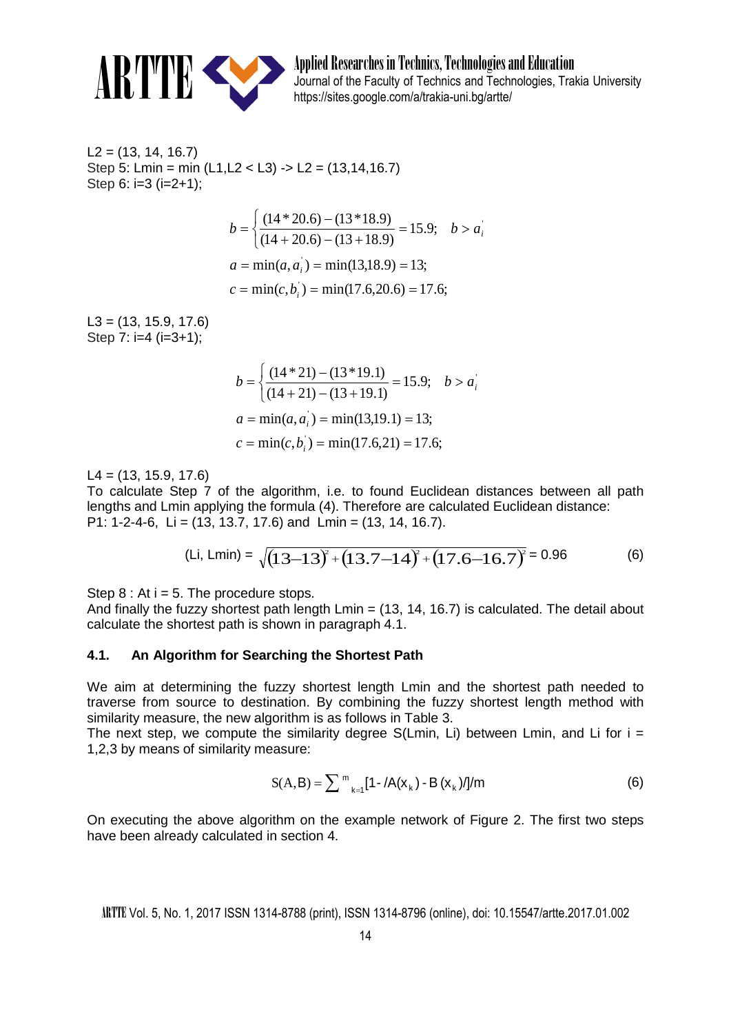

ARTIFINAL Applied Researches in Technics, Technologies and Education<br>burnal of the Faculty of Technics and Technologies, Tra<br>https://sites.google.com/a/trakia.upi.bo/artto/ Journal of the Faculty of Technics and Technologies, Trakia University https://sites.google.com/a/trakia-uni.bg/artte/

 $L2 = (13, 14, 16.7)$ Step 5: Lmin = min  $(L1, L2 < L3)$  -> L2 =  $(13, 14, 16.7)$ Step 6:  $i=3$  ( $i=2+1$ ):

$$
b = \begin{cases} (14 * 20.6) - (13 * 18.9) \\ (14 + 20.6) - (13 + 18.9) \end{cases} = 15.9; \quad b > a_i
$$
  

$$
a = \min(a, a_i) = \min(13.18.9) = 13;
$$
  

$$
c = \min(c, b_i) = \min(17.6, 20.6) = 17.6;
$$

 $L3 = (13, 15.9, 17.6)$ Step  $7: i=4$   $(i=3+1):$ 

$$
b = \begin{cases} \frac{(14 \times 21) - (13 \times 19.1)}{(14 + 21) - (13 + 19.1)} = 15.9; & b > a_i \end{cases}
$$
  

$$
a = \min(a, a_i) = \min(13.19.1) = 13;
$$
  

$$
c = \min(c, b_i) = \min(17.6.21) = 17.6;
$$

 $L4 = (13, 15.9, 17.6)$ 

To calculate Step 7 of the algorithm, i.e. to found Euclidean distances between all path lengths and Lmin applying the formula (4). Therefore are calculated Euclidean distance: P1: 1-2-4-6, Li = (13, 13.7, 17.6) and Lmin = (13, 14, 16.7).

(Li, Lmin) = 
$$
\sqrt{(13-13)^2 + (13.7-14)^2 + (17.6-16.7)^2} = 0.96
$$
 (6)

Step  $8:$  At  $i = 5$ . The procedure stops.

And finally the fuzzy shortest path length  $Lmin = (13, 14, 16.7)$  is calculated. The detail about calculate the shortest path is shown in paragraph 4.1.

#### **4.1. An Algorithm for Searching the Shortest Path**

We aim at determining the fuzzy shortest length Lmin and the shortest path needed to traverse from source to destination. By combining the fuzzy shortest length method with similarity measure, the new algorithm is as follows in Table 3.

The next step, we compute the similarity degree  $S(Lmin, Li)$  between Lmin, and Li for  $i =$ 1,2,3 by means of similarity measure:

$$
S(A,B) = \sum_{k=1}^{m} \left[1 - \frac{\lambda(x_k) - B(x_k)}{\lambda} \right]
$$
 (6)

On executing the above algorithm on the example network of Figure 2. The first two steps have been already calculated in section 4.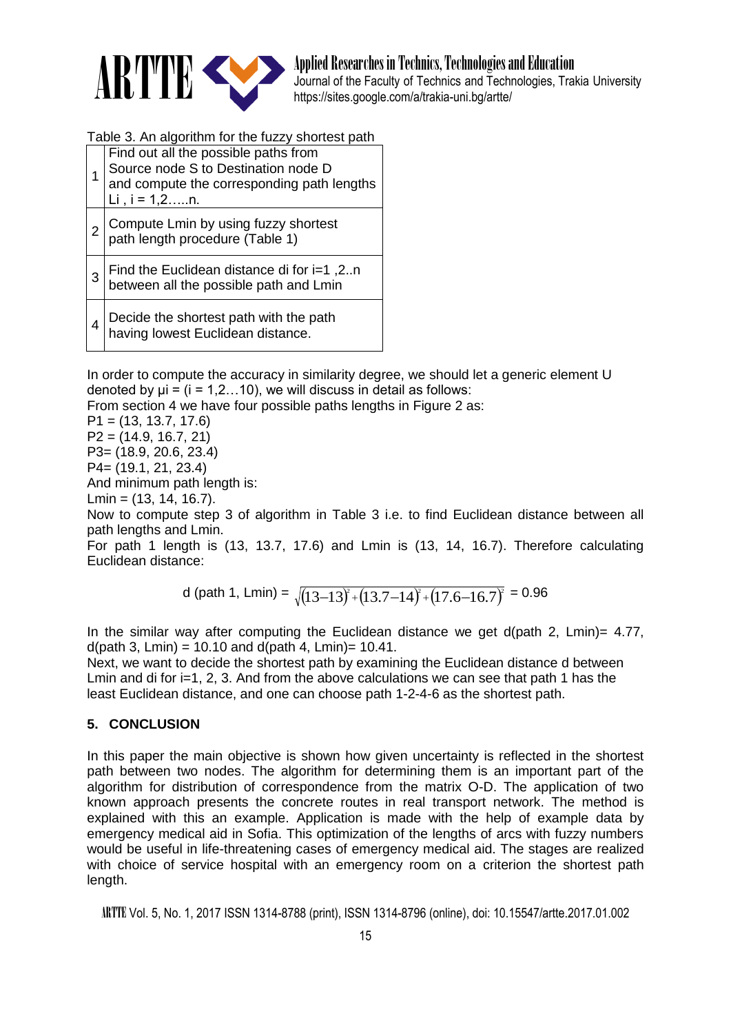

ARTIFINAL Applied Researches in Technics, Technologies and Education<br>Journal of the Faculty of Technics and Technologies, Tra<br>https://sites.geocle.com/a/trakio.upi.ba/ertto/ Journal of the Faculty of Technics and Technologies, Trakia University https://sites.google.com/a/trakia-uni.bg/artte/

Table 3. An algorithm for the fuzzy shortest path

|   | Find out all the possible paths from<br>Source node S to Destination node D<br>and compute the corresponding path lengths<br>Li, $i = 1, 2, \ldots n$ . |
|---|---------------------------------------------------------------------------------------------------------------------------------------------------------|
| 2 | Compute Lmin by using fuzzy shortest<br>path length procedure (Table 1)                                                                                 |
|   | Find the Euclidean distance di for i=1,2n<br>between all the possible path and Lmin                                                                     |
|   | Decide the shortest path with the path<br>having lowest Euclidean distance.                                                                             |

In order to compute the accuracy in similarity degree, we should let a generic element U denoted by  $\mu i = (i = 1, 2, \ldots 10)$ , we will discuss in detail as follows:

From section 4 we have four possible paths lengths in Figure 2 as:

P1 = (13, 13.7, 17.6) P2 = (14.9, 16.7, 21) P3= (18.9, 20.6, 23.4) P4= (19.1, 21, 23.4)

And minimum path length is:

Lmin = (13, 14, 16.7).

Now to compute step 3 of algorithm in Table 3 i.e. to find Euclidean distance between all path lengths and Lmin.

For path 1 length is (13, 13.7, 17.6) and Lmin is (13, 14, 16.7). Therefore calculating Euclidean distance:

d (path 1, Lmin) =  $\sqrt{(13\text{--}13)^2 \cdot (13.7\text{--}14)^2 \cdot (17.6\text{--}16.7)^2} = 0.96$ 

In the similar way after computing the Euclidean distance we get d(path 2, Lmin)= 4.77,  $d$ (path 3, Lmin) = 10.10 and  $d$ (path 4, Lmin) = 10.41.

Next, we want to decide the shortest path by examining the Euclidean distance d between Lmin and di for  $i=1, 2, 3$ . And from the above calculations we can see that path 1 has the least Euclidean distance, and one can choose path 1-2-4-6 as the shortest path.

## **5. CONCLUSION**

In this paper the main objective is shown how given uncertainty is reflected in the shortest path between two nodes. The algorithm for determining them is an important part of the algorithm for distribution of correspondence from the matrix O-D. The application of two known approach presents the concrete routes in real transport network. The method is explained with this an example. Application is made with the help of example data by emergency medical aid in Sofia. This optimization of the lengths of arcs with fuzzy numbers would be useful in life-threatening cases of emergency medical aid. The stages are realized with choice of service hospital with an emergency room on a criterion the shortest path length.